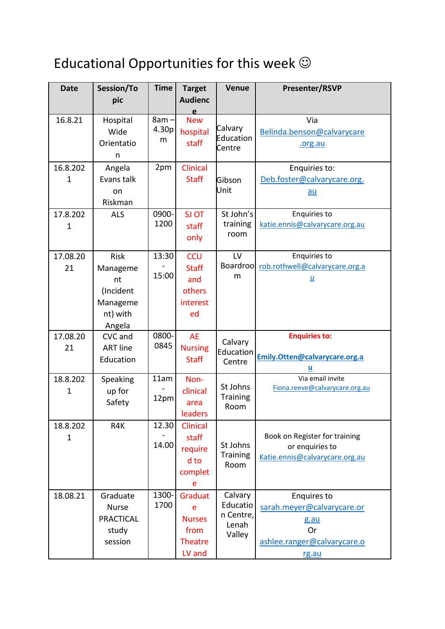## Educational Opportunities for this week  $\odot$

| <b>Date</b>             | Session/To<br>pic                                                            | <b>Time</b>           | <b>Target</b><br><b>Audienc</b>                                   | <b>Venue</b>                                        | <b>Presenter/RSVP</b>                                                                                  |
|-------------------------|------------------------------------------------------------------------------|-----------------------|-------------------------------------------------------------------|-----------------------------------------------------|--------------------------------------------------------------------------------------------------------|
|                         |                                                                              |                       | e                                                                 |                                                     |                                                                                                        |
| 16.8.21                 | Hospital<br>Wide<br>Orientatio<br>n                                          | $8am -$<br>4.30p<br>m | <b>New</b><br>hospital<br>staff                                   | Calvary<br>Education<br>Centre                      | Via<br>Belinda.benson@calvarycare<br>.org.au                                                           |
| 16.8.202<br>$\mathbf 1$ | Angela<br>Evans talk<br>on<br>Riskman                                        | 2pm                   | <b>Clinical</b><br><b>Staff</b>                                   | Gibson<br>Unit                                      | Enquiries to:<br>Deb.foster@calvarycare.org.<br>$au$                                                   |
| 17.8.202<br>1           | <b>ALS</b>                                                                   | 0900-<br>1200         | SJ OT<br>staff<br>only                                            | St John's<br>training<br>room                       | Enquiries to<br>katie.ennis@calvarycare.org.au                                                         |
| 17.08.20<br>21          | <b>Risk</b><br>Manageme<br>nt<br>(Incident<br>Manageme<br>nt) with<br>Angela | 13:30<br>15:00        | <b>CCU</b><br><b>Staff</b><br>and<br>others<br>interest<br>ed     | LV<br><b>Boardroo</b><br>m                          | <b>Enquiries to</b><br>rob.rothwell@calvarycare.org.a<br>$\underline{\mathsf{u}}$                      |
| 17.08.20<br>21          | CVC and<br><b>ART line</b><br>Education                                      | 0800-<br>0845         | <b>AE</b><br><b>Nursing</b><br><b>Staff</b>                       | Calvary<br>Education<br>Centre                      | <b>Enquiries to:</b><br>Emily.Otten@calvarycare.org.a                                                  |
| 18.8.202<br>1           | Speaking<br>up for<br>Safety                                                 | 11am<br>12pm          | Non-<br>clinical<br>area<br>leaders                               | St Johns<br><b>Training</b><br>Room                 | Via email invite<br>Fiona.reeve@calvarycare.org.au                                                     |
| 18.8.202<br>1           | R4K                                                                          | 12.30<br>14.00        | <b>Clinical</b><br>staff<br>require<br>d to<br>complet<br>e       | St Johns<br><b>Training</b><br>Room                 | Book on Register for training<br>or enquiries to<br>Katie.ennis@calvarycare.org.au                     |
| 18.08.21                | Graduate<br><b>Nurse</b><br><b>PRACTICAL</b><br>study<br>session             | 1300-<br>1700         | Graduat<br>e<br><b>Nurses</b><br>from<br><b>Theatre</b><br>LV and | Calvary<br>Educatio<br>n Centre,<br>Lenah<br>Valley | Enquires to<br>sarah.meyer@calvarycare.or<br>g.au<br><b>Or</b><br>ashlee.ranger@calvarycare.o<br>rg.au |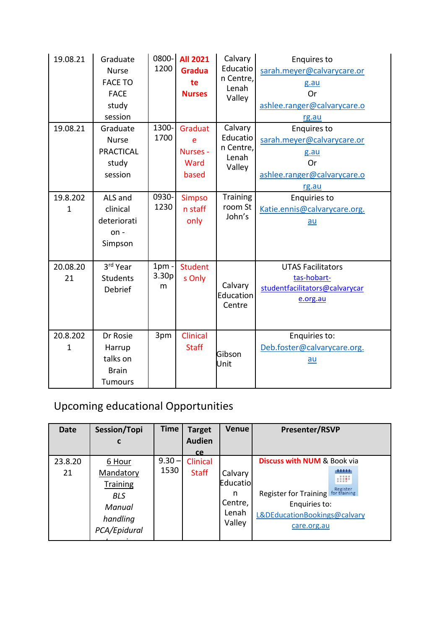| 19.08.21       | Graduate<br><b>Nurse</b><br><b>FACE TO</b><br><b>FACE</b><br>study<br>session | 0800-<br>1200                     | <b>All 2021</b><br><b>Gradua</b><br>te<br><b>Nurses</b> | Calvary<br>Educatio<br>n Centre,<br>Lenah<br>Valley | <b>Enquires to</b><br>sarah.meyer@calvarycare.or<br>g.au<br>Or<br>ashlee.ranger@calvarycare.o<br>rg.au |
|----------------|-------------------------------------------------------------------------------|-----------------------------------|---------------------------------------------------------|-----------------------------------------------------|--------------------------------------------------------------------------------------------------------|
| 19.08.21       | Graduate<br><b>Nurse</b><br><b>PRACTICAL</b><br>study<br>session              | 1300-<br>1700                     | Graduat<br>e<br>Nurses -<br>Ward<br>based               | Calvary<br>Educatio<br>n Centre,<br>Lenah<br>Valley | <b>Enquires to</b><br>sarah.meyer@calvarycare.or<br>g.au<br>Or<br>ashlee.ranger@calvarycare.o<br>rg.au |
| 19.8.202<br>1  | ALS and<br>clinical<br>deteriorati<br>$on -$<br>Simpson                       | 0930-<br>1230                     | <b>Simpso</b><br>n staff<br>only                        | <b>Training</b><br>room St<br>John's                | <b>Enquiries to</b><br>Katie.ennis@calvarycare.org.<br>au                                              |
| 20.08.20<br>21 | 3rd Year<br><b>Students</b><br>Debrief                                        | $1pm$ -<br>3.30 <sub>p</sub><br>m | <b>Student</b><br>s Only                                | Calvary<br>Education<br>Centre                      | <b>UTAS Facilitators</b><br>tas-hobart-<br>studentfacilitators@calvarycar<br>e.org.au                  |
| 20.8.202<br>1  | Dr Rosie<br>Harrup<br>talks on<br><b>Brain</b><br><b>Tumours</b>              | 3pm                               | Clinical<br><b>Staff</b>                                | Gibson<br>Unit                                      | Enquiries to:<br>Deb.foster@calvarycare.org.<br>$au$                                                   |

## Upcoming educational Opportunities

| <b>Date</b> | Session/Topi                       | <b>Time</b> | <b>Target</b> | <b>Venue</b>         | <b>Presenter/RSVP</b>                                        |
|-------------|------------------------------------|-------------|---------------|----------------------|--------------------------------------------------------------|
|             | C                                  |             | <b>Audien</b> |                      |                                                              |
|             |                                    |             | <b>ce</b>     |                      |                                                              |
| 23.8.20     | 6 Hour                             | $9.30 -$    | Clinical      |                      | <b>Discuss with NUM &amp; Book via</b>                       |
| 21          | Mandatory<br><b>Training</b>       | 1530        | <b>Staff</b>  | Calvary<br>Educatiol |                                                              |
|             | <b>BLS</b>                         |             |               | n<br>Centre,         | Register<br><b>Register for Training</b><br>for training     |
|             | Manual<br>handling<br>PCA/Epidural |             |               | Lenah<br>Valley      | Enquiries to:<br>L&DEducationBookings@calvary<br>care.org.au |
|             |                                    |             |               |                      |                                                              |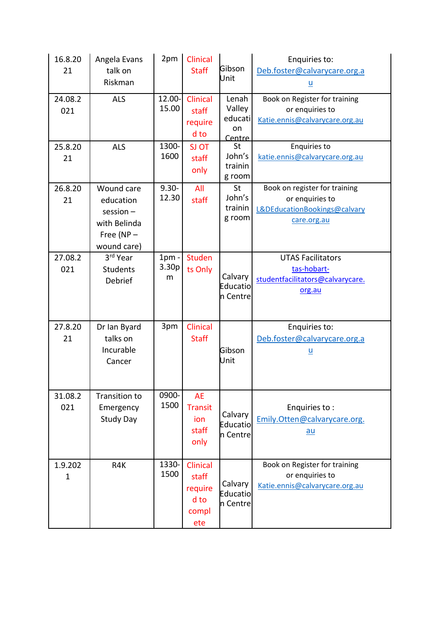| 16.8.20<br>21<br>24.08.2<br>021 | Angela Evans<br>talk on<br>Riskman<br><b>ALS</b>                                         | 2pm<br>12.00-<br>15.00 | Clinical<br><b>Staff</b><br>Clinical<br>staff        | Gibson<br>Unit<br>Lenah<br>Valley<br>educati | Enquiries to:<br>Deb.foster@calvarycare.org.a<br>$\underline{\mathsf{u}}$<br>Book on Register for training<br>or enquiries to |
|---------------------------------|------------------------------------------------------------------------------------------|------------------------|------------------------------------------------------|----------------------------------------------|-------------------------------------------------------------------------------------------------------------------------------|
| 25.8.20                         | <b>ALS</b>                                                                               | 1300-<br>1600          | require<br>d to<br>SJ OT                             | on<br>Centre<br>St<br>John's                 | Katie.ennis@calvarycare.org.au<br><b>Enquiries to</b><br>katie.ennis@calvarycare.org.au                                       |
| 21                              |                                                                                          |                        | staff<br>only                                        | trainin<br>g room                            |                                                                                                                               |
| 26.8.20<br>21                   | Wound care<br>education<br>$s$ ession $-$<br>with Belinda<br>Free (NP $-$<br>wound care) | $9.30 -$<br>12.30      | All<br>staff                                         | St<br>John's<br>trainin<br>g room            | Book on register for training<br>or enquiries to<br>L&DEducationBookings@calvary<br>care.org.au                               |
| 27.08.2<br>021                  | 3rd Year<br><b>Students</b><br>Debrief                                                   | $1pm -$<br>3.30p<br>m  | <b>Studen</b><br>ts Only                             | Calvary<br>Educatio<br>n Centre              | <b>UTAS Facilitators</b><br>tas-hobart-<br>studentfacilitators@calvarycare.<br>org.au                                         |
| 27.8.20<br>21                   | Dr Ian Byard<br>talks on<br>Incurable<br>Cancer                                          | 3pm                    | Clinical<br><b>Staff</b>                             | Gibson<br>Unit                               | Enquiries to:<br>Deb.foster@calvarycare.org.a<br>$\underline{\mathsf{u}}$                                                     |
| 31.08.2<br>021                  | Transition to<br>Emergency<br><b>Study Day</b>                                           | 0900-<br>1500          | <b>AE</b><br><b>Transit</b><br>ion<br>staff<br>only  | Calvary<br>Educatio<br>n Centre              | Enquiries to:<br>Emily.Otten@calvarycare.org.<br>au                                                                           |
| 1.9.202<br>$\mathbf{1}$         | R4K                                                                                      | 1330-<br>1500          | Clinical<br>staff<br>require<br>d to<br>compl<br>ete | Calvary<br>Educatio<br>n Centre              | Book on Register for training<br>or enquiries to<br>Katie.ennis@calvarycare.org.au                                            |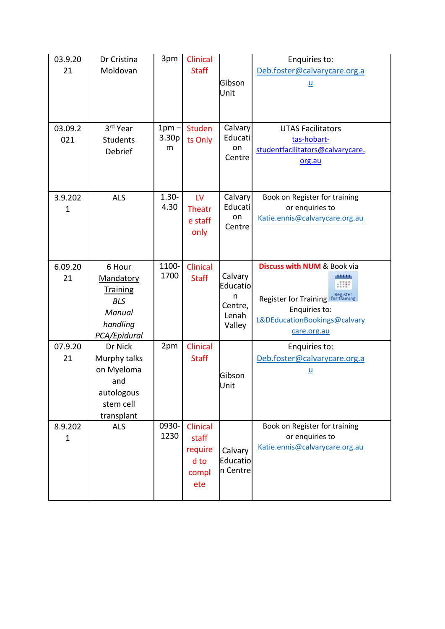| 03.9.20<br>21          | Dr Cristina<br>Moldovan                                                                    | 3pm                   | <b>Clinical</b><br><b>Staff</b>                      | Gibson<br>Unit                                         | Enquiries to:<br>Deb.foster@calvarycare.org.a<br><u>ប</u>                                                                                   |
|------------------------|--------------------------------------------------------------------------------------------|-----------------------|------------------------------------------------------|--------------------------------------------------------|---------------------------------------------------------------------------------------------------------------------------------------------|
| 03.09.2<br>021         | 3rd Year<br><b>Students</b><br>Debrief                                                     | $1pm -$<br>3.30p<br>m | <b>Studen</b><br>ts Only                             | Calvary<br>Educati<br>on<br>Centre                     | <b>UTAS Facilitators</b><br>tas-hobart-<br>studentfacilitators@calvarycare.<br>org.au                                                       |
| 3.9.202<br>$\mathbf 1$ | <b>ALS</b>                                                                                 | $1.30 -$<br>4.30      | LV<br>Theatr<br>e staff<br>only                      | Calvary<br>Educati<br>on<br>Centre                     | Book on Register for training<br>or enquiries to<br>Katie.ennis@calvarycare.org.au                                                          |
| 6.09.20<br>21          | 6 Hour<br>Mandatory<br><b>Training</b><br><b>BLS</b><br>Manual<br>handling<br>PCA/Epidural | 1100-<br>1700         | Clinical<br><b>Staff</b>                             | Calvary<br>Educatio<br>n<br>Centre,<br>Lenah<br>Valley | <b>Discuss with NUM &amp; Book via</b><br>Register<br>Register for Training<br>Enquiries to:<br>L&DEducationBookings@calvary<br>care.org.au |
| 07.9.20<br>21          | Dr Nick<br>Murphy talks<br>on Myeloma<br>and<br>autologous<br>stem cell<br>transplant      | 2pm                   | Clinical<br><b>Staff</b>                             | Gibson<br>Unit                                         | Enquiries to:<br>Deb.foster@calvarycare.org.a<br><u>u</u>                                                                                   |
| 8.9.202<br>1           | <b>ALS</b>                                                                                 | 0930-<br>1230         | Clinical<br>staff<br>require<br>d to<br>compl<br>ete | Calvary<br>Educatio<br>n Centre                        | Book on Register for training<br>or enquiries to<br>Katie.ennis@calvarycare.org.au                                                          |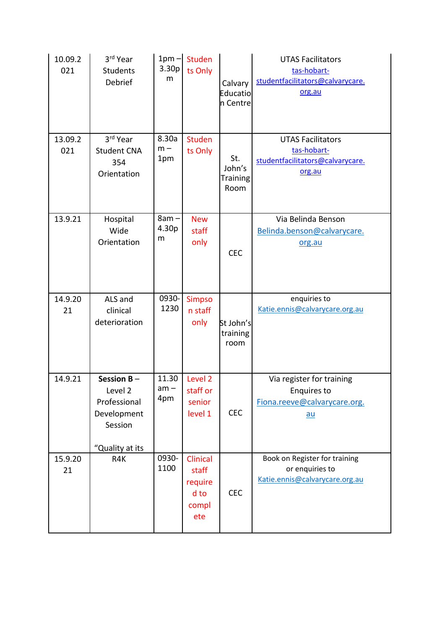| 10.09.2<br>021 | 3rd Year<br><b>Students</b><br>Debrief                                                | $1pm -$<br>3.30p<br>m | Studen<br>ts Only                                    | Calvary<br>Educatio<br>n Centre          | <b>UTAS Facilitators</b><br>tas-hobart-<br>studentfacilitators@calvarycare.<br>org.au   |
|----------------|---------------------------------------------------------------------------------------|-----------------------|------------------------------------------------------|------------------------------------------|-----------------------------------------------------------------------------------------|
| 13.09.2<br>021 | 3rd Year<br><b>Student CNA</b><br>354<br>Orientation                                  | 8.30a<br>$m -$<br>1pm | <b>Studen</b><br>ts Only                             | St.<br>John's<br><b>Training</b><br>Room | <b>UTAS Facilitators</b><br>tas-hobart-<br>studentfacilitators@calvarycare.<br>org.au   |
| 13.9.21        | Hospital<br>Wide<br>Orientation                                                       | $8am -$<br>4.30p<br>m | <b>New</b><br>staff<br>only                          | <b>CEC</b>                               | Via Belinda Benson<br>Belinda.benson@calvarycare.<br>org.au                             |
| 14.9.20<br>21  | ALS and<br>clinical<br>deterioration                                                  | 0930-<br>1230         | <b>Simpso</b><br>n staff<br>only                     | St John's<br>training<br>room            | enquiries to<br>Katie.ennis@calvarycare.org.au                                          |
| 14.9.21        | Session $B -$<br>Level 2<br>Professional<br>Development<br>Session<br>"Quality at its | 11.30<br>am –<br>4pm  | Level <sub>2</sub><br>staff or<br>senior<br>level 1  | <b>CEC</b>                               | Via register for training<br><b>Enquires to</b><br>Fiona.reeve@calvarycare.org.<br>$au$ |
| 15.9.20<br>21  | R4K                                                                                   | 0930-<br>1100         | Clinical<br>staff<br>require<br>d to<br>compl<br>ete | <b>CEC</b>                               | Book on Register for training<br>or enquiries to<br>Katie.ennis@calvarycare.org.au      |